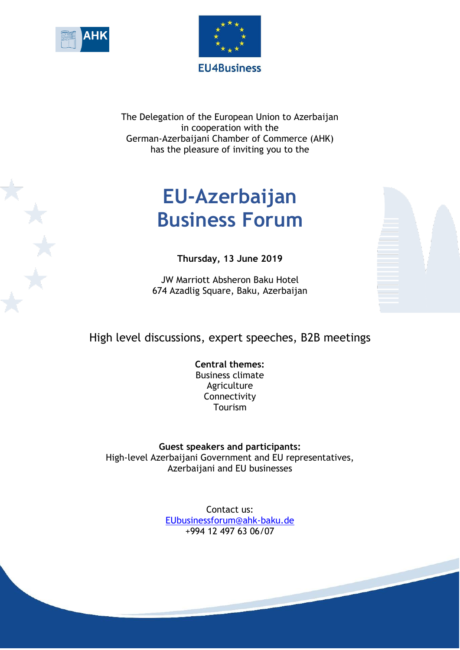



The Delegation of the European Union to Azerbaijan in cooperation with the German-Azerbaijani Chamber of Commerce (AHK) has the pleasure of inviting you to the

## **EU-Azerbaijan Business Forum**

**Thursday, 13 June 2019**

JW Marriott Absheron Baku Hotel 674 Azadlig Square, Baku, Azerbaijan

## High level discussions, expert speeches, B2B meetings

**Central themes:** Business climate Agriculture Connectivity Tourism

**Guest speakers and participants:**  High-level Azerbaijani Government and EU representatives, Azerbaijani and EU businesses

> Contact us: [EUbusinessforum@a](mailto:EUbusinessforum@)hk-baku.de +994 12 497 63 06/07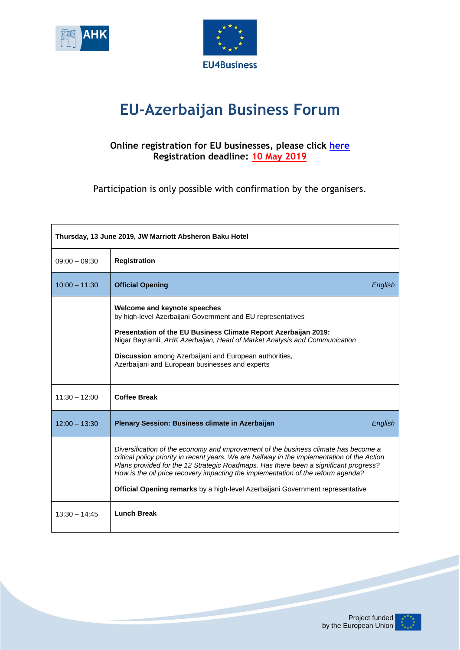



## **EU-Azerbaijan Business Forum**

## **Online registration for EU businesses, please click [here](https://docs.google.com/forms/d/15WzeGkYo4_czSAuURMPbbrqhuTr8tvPX0KnktYk9FAU/viewform?edit_requested=true) Registration deadline: 10 May 2019**

Participation is only possible with confirmation by the organisers.

| Thursday, 13 June 2019, JW Marriott Absheron Baku Hotel |                                                                                                                                                                                                                                                                                                                                                                                                                                                          |  |  |
|---------------------------------------------------------|----------------------------------------------------------------------------------------------------------------------------------------------------------------------------------------------------------------------------------------------------------------------------------------------------------------------------------------------------------------------------------------------------------------------------------------------------------|--|--|
| $09:00 - 09:30$                                         | <b>Registration</b>                                                                                                                                                                                                                                                                                                                                                                                                                                      |  |  |
| $10:00 - 11:30$                                         | <b>Official Opening</b><br>English                                                                                                                                                                                                                                                                                                                                                                                                                       |  |  |
|                                                         | Welcome and keynote speeches<br>by high-level Azerbaijani Government and EU representatives<br>Presentation of the EU Business Climate Report Azerbaijan 2019:<br>Nigar Bayramli, AHK Azerbaijan, Head of Market Analysis and Communication<br>Discussion among Azerbaijani and European authorities,<br>Azerbaijani and European businesses and experts                                                                                                 |  |  |
| $11:30 - 12:00$                                         | <b>Coffee Break</b>                                                                                                                                                                                                                                                                                                                                                                                                                                      |  |  |
| $12:00 - 13:30$                                         | Plenary Session: Business climate in Azerbaijan<br>English                                                                                                                                                                                                                                                                                                                                                                                               |  |  |
|                                                         | Diversification of the economy and improvement of the business climate has become a<br>critical policy priority in recent years. We are halfway in the implementation of the Action<br>Plans provided for the 12 Strategic Roadmaps. Has there been a significant progress?<br>How is the oil price recovery impacting the implementation of the reform agenda?<br><b>Official Opening remarks</b> by a high-level Azerbaijani Government representative |  |  |
| $13:30 - 14:45$                                         | <b>Lunch Break</b>                                                                                                                                                                                                                                                                                                                                                                                                                                       |  |  |